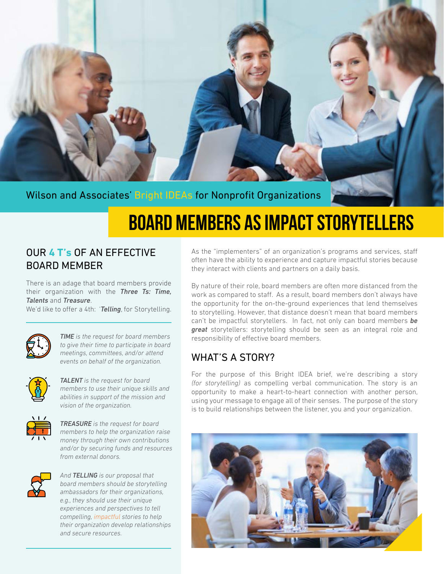

### Wilson and Associates' Bright IDEAs for Nonprofit Organizations

# **BOARD MEMBERS AS IMPACT STORYTELLERS**

### OUR **4 T's** OF AN EFFECTIVE BOARD MEMBER

There is an adage that board members provide their organization with the *Three Ts: Time, Talents* and *Treasure*.

We'd like to offer a 4th: '*Telling*, for Storytelling.



*TIME is the request for board members to give their time to participate in board meetings, committees, and/or attend events on behalf of the organization.* 



*TALENT is the request for board members to use their unique skills and abilities in support of the mission and vision of the organization.* 



*TREASURE is the request for board members to help the organization raise money through their own contributions and/or by securing funds and resources from external donors.*



*And TELLING is our proposal that board members should be storytelling ambassadors for their organizations, e.g., they should use their unique experiences and perspectives to tell compelling, impactful stories to help their organization develop relationships and secure resources.*

As the "implementers" of an organization's programs and services, staff often have the ability to experience and capture impactful stories because they interact with clients and partners on a daily basis.

By nature of their role, board members are often more distanced from the work as compared to staff. As a result, board members don't always have the opportunity for the on-the-ground experiences that lend themselves to storytelling. However, that distance doesn't mean that board members can't be impactful storytellers. In fact, not only can board members *be great* storytellers: storytelling should be seen as an integral role and responsibility of effective board members.

### WHAT'S A STORY?

For the purpose of this Bright IDEA brief, we're describing a story *(for storytelling)* as compelling verbal communication. The story is an opportunity to make a heart-to-heart connection with another person, using your message to engage all of their senses. The purpose of the story is to build relationships between the listener, you and your organization.

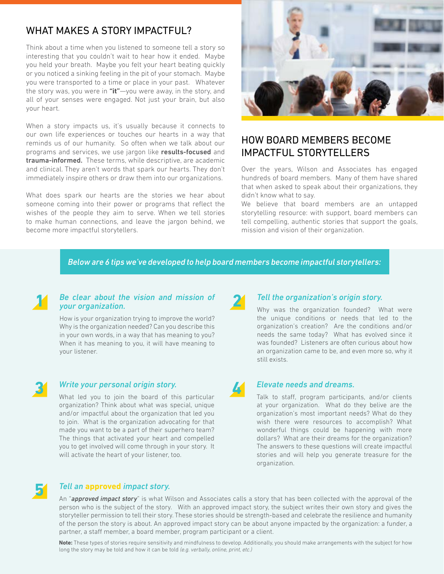### WHAT MAKES A STORY IMPACTFUL?

Think about a time when you listened to someone tell a story so interesting that you couldn't wait to hear how it ended. Maybe you held your breath. Maybe you felt your heart beating quickly or you noticed a sinking feeling in the pit of your stomach. Maybe you were transported to a time or place in your past. Whatever the story was, you were in **"it"**—you were away, in the story, and all of your senses were engaged. Not just your brain, but also your heart.

When a story impacts us, it's usually because it connects to our own life experiences or touches our hearts in a way that reminds us of our humanity. So often when we talk about our programs and services, we use jargon like results-focused and trauma-informed. These terms, while descriptive, are academic and clinical. They aren't words that spark our hearts. They don't immediately inspire others or draw them into our organizations.

What does spark our hearts are the stories we hear about someone coming into their power or programs that reflect the wishes of the people they aim to serve. When we tell stories to make human connections, and leave the jargon behind, we become more impactful storytellers.



## HOW BOARD MEMBERS BECOME IMPACTFUL STORYTELLERS

Over the years, Wilson and Associates has engaged hundreds of board members. Many of them have shared that when asked to speak about their organizations, they didn't know what to say.

We believe that board members are an untapped storytelling resource: with support, board members can tell compelling, authentic stories that support the goals, mission and vision of their organization.

*Below are 6 tips we've developed to help board members become impactful storytellers:*

#### **1** *Be clear about the vision and mission of your organization.*

How is your organization trying to improve the world? Why is the organization needed? Can you describe this in your own words, in a way that has meaning to you? When it has meaning to you, it will have meaning to your listener.



#### **3** *Write your personal origin story.*

What led you to join the board of this particular organization? Think about what was special, unique and/or impactful about the organization that led you to join. What is the organization advocating for that made you want to be a part of their superhero team? The things that activated your heart and compelled you to get involved will come through in your story. It will activate the heart of your listener, too.

### **2** *Tell the organization's origin story.*

Why was the organization founded? What were the unique conditions or needs that led to the organization's creation? Are the conditions and/or needs the same today? What has evolved since it was founded? Listeners are often curious about how an organization came to be, and even more so, why it still exists.

#### **4** *Elevate needs and dreams.*

Talk to staff, program participants, and/or clients at your organization. What do they belive are the organization's most important needs? What do they wish there were resources to accomplish? What wonderful things could be happening with more dollars? What are their dreams for the organization? The answers to these questions will create impactful stories and will help you generate treasure for the organization.



### **5** *Tell an* **approved** *impact story.*

An "*approved impact story*" is what Wilson and Associates calls a story that has been collected with the approval of the person who is the subject of the story. With an approved impact story, the subject writes their own story and gives the storyteller permission to tell their story. These stories should be strength-based and celebrate the resilience and humanity of the person the story is about. An approved impact story can be about anyone impacted by the organization: a funder, a partner, a staff member, a board member, program participant or a client.

**Note:** These types of stories require sensitivity and mindfulness to develop. Additionally, you should make arrangements with the subject for how long the story may be told and how it can be told *(e.g. verbally, online, print, etc.)*